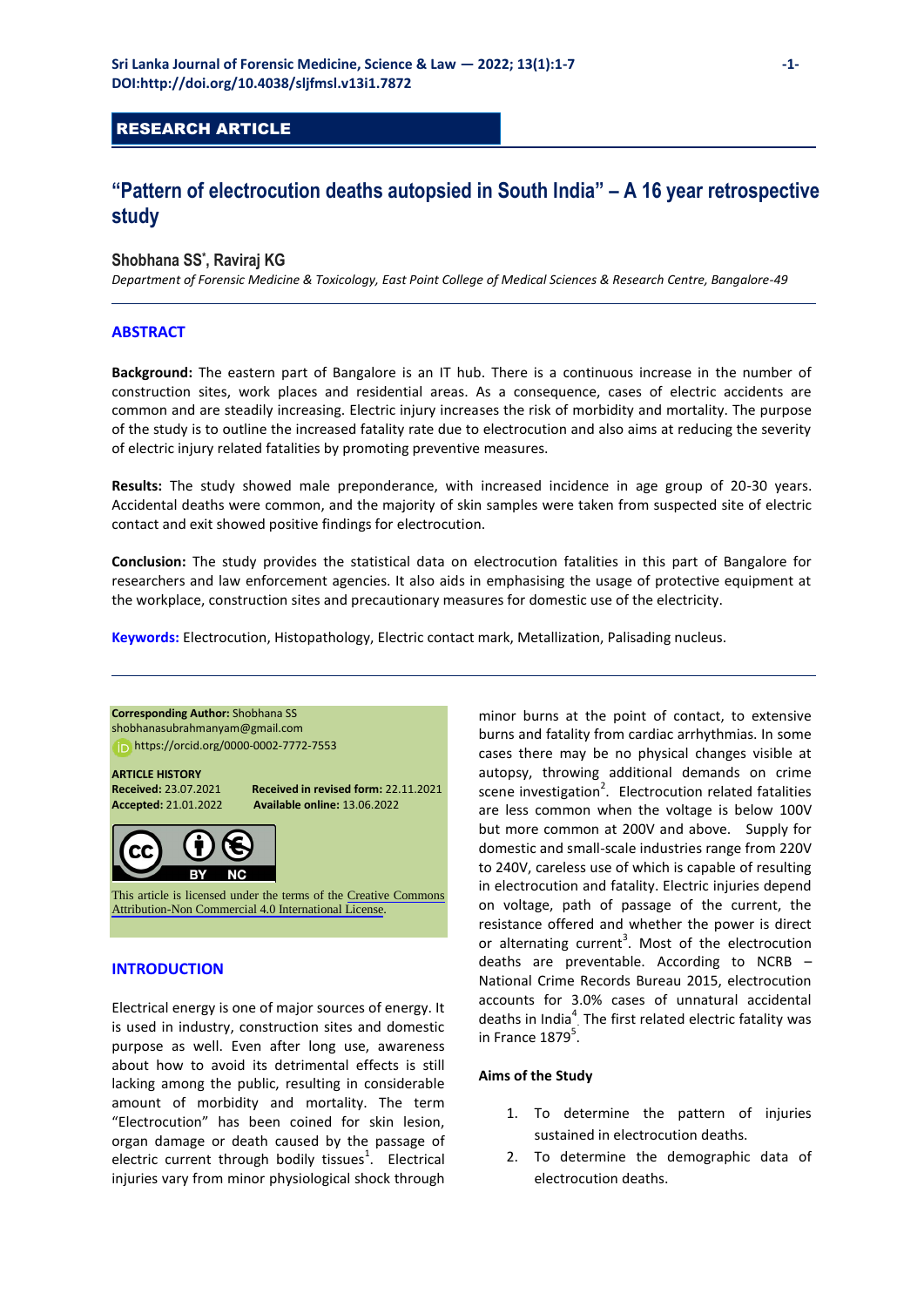## RESEARCH ARTICLE

# **"Pattern of electrocution deaths autopsied in South India" – A 16 year retrospective study**

## **Shobhana SS\* , Raviraj KG**

*Department of Forensic Medicine & Toxicology, East Point College of Medical Sciences & Research Centre, Bangalore-49*

## **ABSTRACT**

**Background:** The eastern part of Bangalore is an IT hub. There is a continuous increase in the number of construction sites, work places and residential areas. As a consequence, cases of electric accidents are common and are steadily increasing. Electric injury increases the risk of morbidity and mortality. The purpose of the study is to outline the increased fatality rate due to electrocution and also aims at reducing the severity of electric injury related fatalities by promoting preventive measures.

**Results:** The study showed male preponderance, with increased incidence in age group of 20-30 years. Accidental deaths were common, and the majority of skin samples were taken from suspected site of electric contact and exit showed positive findings for electrocution.

**Conclusion:** The study provides the statistical data on electrocution fatalities in this part of Bangalore for researchers and law enforcement agencies. It also aids in emphasising the usage of protective equipment at the workplace, construction sites and precautionary measures for domestic use of the electricity.

**Keywords:** Electrocution, Histopathology, Electric contact mark, Metallization, Palisading nucleus.

## **Corresponding Author:** Shobhana SS [shobhanasubrahmanyam@gmail.com](mailto:shobhanasubrahmanyam@gmail.com)  [https://orcid.org/00](https://orcid.org/0000-0002-6880-5513)00-0002-7772-7553 **ARTICLE HISTORY**

**Received:** 23.07.2021 **Received in revised form:** 22.11.2021 **Accepted:** 21.01.2022 **Available online:** 13.06.2022



This article is licensed under the terms of the [Creative Commons](https://creativecommons.org/licenses/by-nc/4.0/)  [Attribution-Non Commercial 4.0 International License](https://creativecommons.org/licenses/by-nc/4.0/).

## **INTRODUCTION**

Electrical energy is one of major sources of energy. It is used in industry, construction sites and domestic purpose as well. Even after long use, awareness about how to avoid its detrimental effects is still lacking among the public, resulting in considerable amount of morbidity and mortality. The term "Electrocution" has been coined for skin lesion, organ damage or death caused by the passage of electric current through bodily tissues<sup>1</sup>. Electrical injuries vary from minor physiological shock through

minor burns at the point of contact, to extensive burns and fatality from cardiac arrhythmias. In some cases there may be no physical changes visible at autopsy, throwing additional demands on crime scene investigation<sup>2</sup>. Electrocution related fatalities are less common when the voltage is below 100V but more common at 200V and above. Supply for domestic and small-scale industries range from 220V to 240V, careless use of which is capable of resulting in electrocution and fatality. Electric injuries depend on voltage, path of passage of the current, the resistance offered and whether the power is direct or alternating current<sup>3</sup>. Most of the electrocution deaths are preventable. According to NCRB – National Crime Records Bureau 2015, electrocution accounts for 3.0% cases of unnatural accidental deaths in India $^4$ . The first related electric fatality was in France  $1879^5$ .

#### **Aims of the Study**

- 1. To determine the pattern of injuries sustained in electrocution deaths.
- 2. To determine the demographic data of electrocution deaths.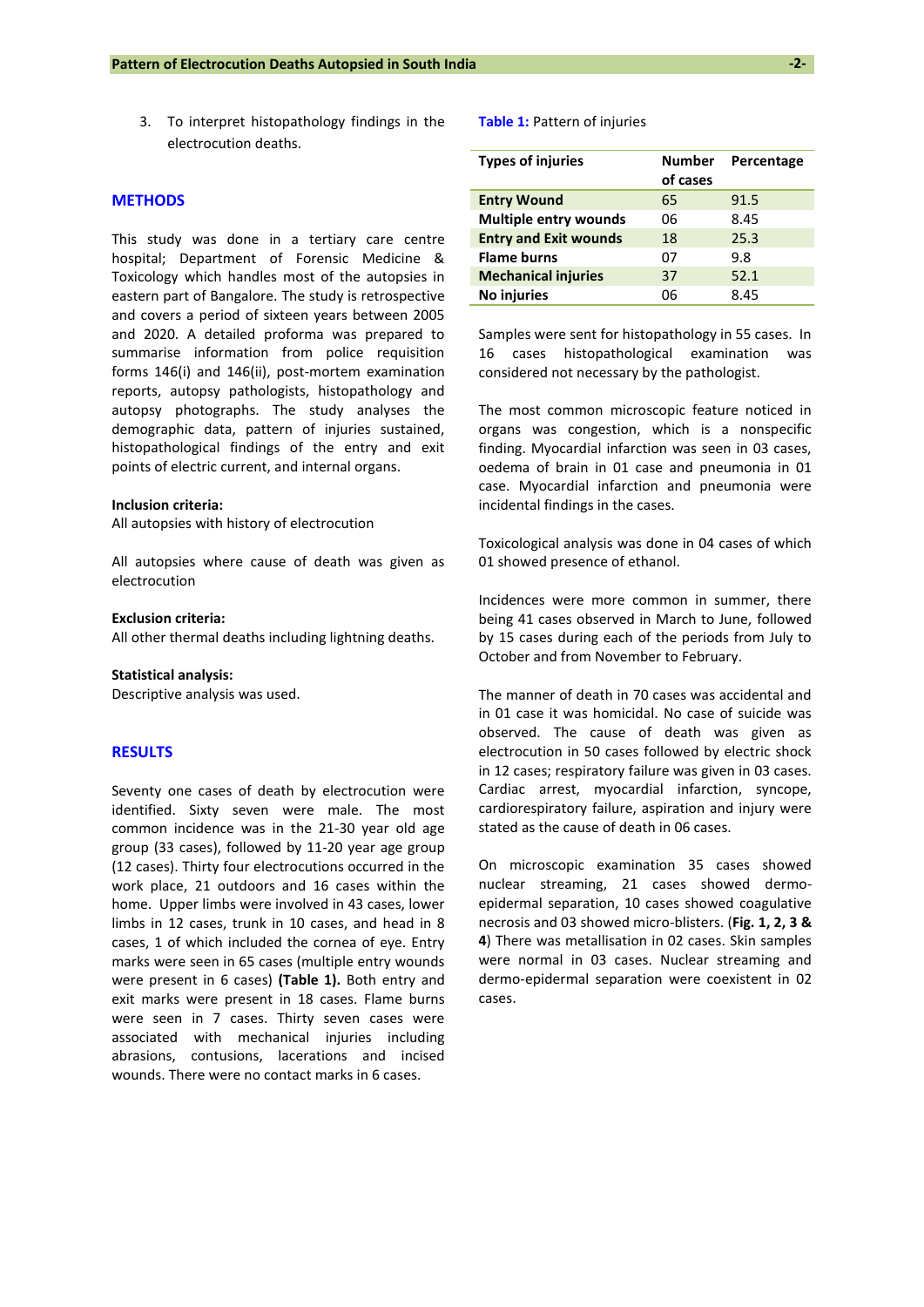3. To interpret histopathology findings in the electrocution deaths.

## **METHODS**

This study was done in a tertiary care centre hospital; Department of Forensic Medicine & Toxicology which handles most of the autopsies in eastern part of Bangalore. The study is retrospective and covers a period of sixteen years between 2005 and 2020. A detailed proforma was prepared to summarise information from police requisition forms 146(i) and 146(ii), post-mortem examination reports, autopsy pathologists, histopathology and autopsy photographs. The study analyses the demographic data, pattern of injuries sustained, histopathological findings of the entry and exit points of electric current, and internal organs.

#### **Inclusion criteria:**

All autopsies with history of electrocution

All autopsies where cause of death was given as electrocution

### **Exclusion criteria:**

All other thermal deaths including lightning deaths.

#### **Statistical analysis:**

Descriptive analysis was used.

#### **RESULTS**

Seventy one cases of death by electrocution were identified. Sixty seven were male. The most common incidence was in the 21-30 year old age group (33 cases), followed by 11-20 year age group (12 cases). Thirty four electrocutions occurred in the work place, 21 outdoors and 16 cases within the home. Upper limbs were involved in 43 cases, lower limbs in 12 cases, trunk in 10 cases, and head in 8 cases, 1 of which included the cornea of eye. Entry marks were seen in 65 cases (multiple entry wounds were present in 6 cases) **(Table 1).** Both entry and exit marks were present in 18 cases. Flame burns were seen in 7 cases. Thirty seven cases were associated with mechanical injuries including abrasions, contusions, lacerations and incised wounds. There were no contact marks in 6 cases.

#### **Table 1:** Pattern of injuries

| <b>Types of injuries</b>     | <b>Number</b> | Percentage |
|------------------------------|---------------|------------|
|                              | of cases      |            |
| <b>Entry Wound</b>           | 65            | 91.5       |
| <b>Multiple entry wounds</b> | 06            | 8.45       |
| <b>Entry and Exit wounds</b> | 18            | 25.3       |
| <b>Flame burns</b>           | 07            | 9.8        |
| <b>Mechanical injuries</b>   | 37            | 52.1       |
| No injuries                  | በ6            | 8.45       |

Samples were sent for histopathology in 55 cases. In 16 cases histopathological examination was considered not necessary by the pathologist.

The most common microscopic feature noticed in organs was congestion, which is a nonspecific finding. Myocardial infarction was seen in 03 cases, oedema of brain in 01 case and pneumonia in 01 case. Myocardial infarction and pneumonia were incidental findings in the cases.

Toxicological analysis was done in 04 cases of which 01 showed presence of ethanol.

Incidences were more common in summer, there being 41 cases observed in March to June, followed by 15 cases during each of the periods from July to October and from November to February.

The manner of death in 70 cases was accidental and in 01 case it was homicidal. No case of suicide was observed. The cause of death was given as electrocution in 50 cases followed by electric shock in 12 cases; respiratory failure was given in 03 cases. Cardiac arrest, myocardial infarction, syncope, cardiorespiratory failure, aspiration and injury were stated as the cause of death in 06 cases.

On microscopic examination 35 cases showed nuclear streaming, 21 cases showed dermoepidermal separation, 10 cases showed coagulative necrosis and 03 showed micro-blisters. (**Fig. 1, 2, 3 & 4**) There was metallisation in 02 cases. Skin samples were normal in 03 cases. Nuclear streaming and dermo-epidermal separation were coexistent in 02 cases.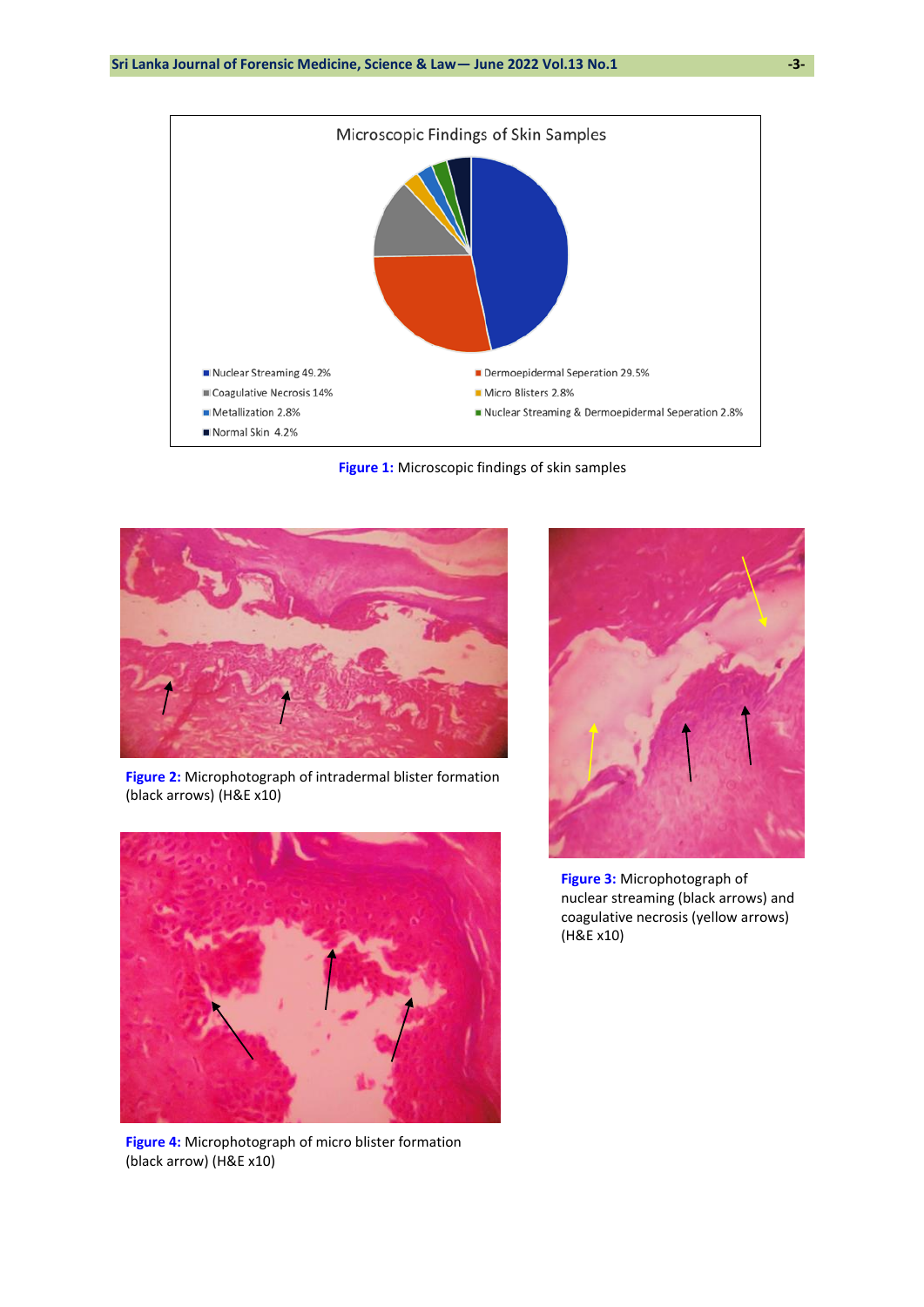

**Figure 1:** Microscopic findings of skin samples



**Figure 2:** Microphotograph of intradermal blister formation (black arrows) (H&E x10)



**Figure 4:** Microphotograph of micro blister formation (black arrow) (H&E x10)



**Figure 3:** Microphotograph of nuclear streaming (black arrows) and coagulative necrosis (yellow arrows) (H&E x10)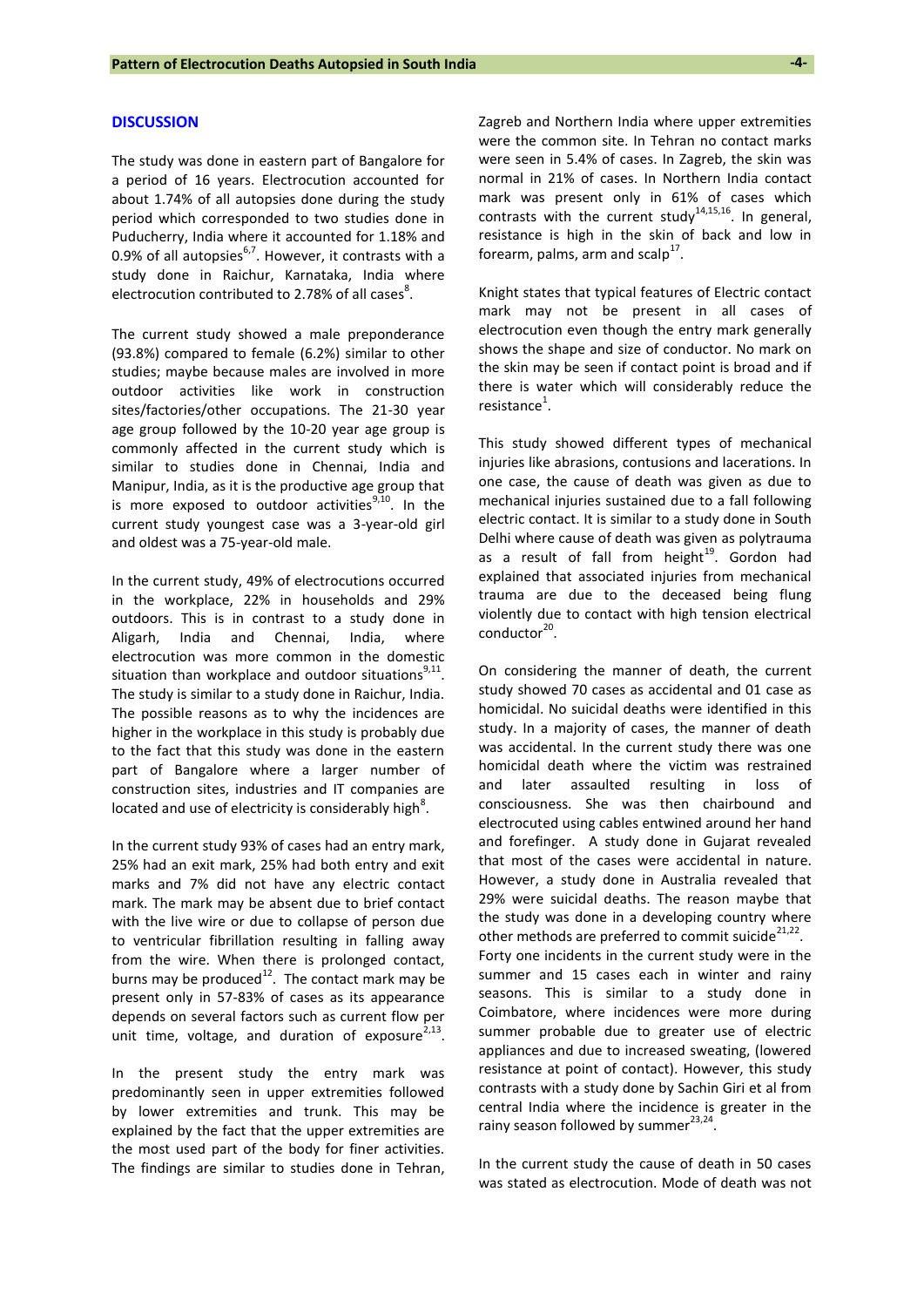#### **DISCUSSION**

The study was done in eastern part of Bangalore for a period of 16 years. Electrocution accounted for about 1.74% of all autopsies done during the study period which corresponded to two studies done in Puducherry, India where it accounted for 1.18% and 0.9% of all autopsies $^{6,7}$ . However, it contrasts with a study done in Raichur, Karnataka, India where electrocution contributed to 2.78% of all cases $^8$ .

The current study showed a male preponderance (93.8%) compared to female (6.2%) similar to other studies; maybe because males are involved in more outdoor activities like work in construction sites/factories/other occupations. The 21-30 year age group followed by the 10-20 year age group is commonly affected in the current study which is similar to studies done in Chennai, India and Manipur, India, as it is the productive age group that is more exposed to outdoor activities<sup>9,10</sup>. In the current study youngest case was a 3-year-old girl and oldest was a 75-year-old male.

In the current study, 49% of electrocutions occurred in the workplace, 22% in households and 29% outdoors. This is in contrast to a study done in Aligarh, India and Chennai, India, where electrocution was more common in the domestic situation than workplace and outdoor situations $9,11$ . The study is similar to a study done in Raichur, India. The possible reasons as to why the incidences are higher in the workplace in this study is probably due to the fact that this study was done in the eastern part of Bangalore where a larger number of construction sites, industries and IT companies are located and use of electricity is considerably high<sup>8</sup>.

In the current study 93% of cases had an entry mark, 25% had an exit mark, 25% had both entry and exit marks and 7% did not have any electric contact mark. The mark may be absent due to brief contact with the live wire or due to collapse of person due to ventricular fibrillation resulting in falling away from the wire. When there is prolonged contact, burns may be produced $^{12}$ . The contact mark may be present only in 57-83% of cases as its appearance depends on several factors such as current flow per unit time, voltage, and duration of exposure $^{2,13}$ .

In the present study the entry mark was predominantly seen in upper extremities followed by lower extremities and trunk. This may be explained by the fact that the upper extremities are the most used part of the body for finer activities. The findings are similar to studies done in Tehran, Zagreb and Northern India where upper extremities were the common site. In Tehran no contact marks were seen in 5.4% of cases. In Zagreb, the skin was normal in 21% of cases. In Northern India contact mark was present only in 61% of cases which contrasts with the current study<sup>14,15,16</sup>. In general, resistance is high in the skin of back and low in forearm, palms, arm and scalp $^{17}$ .

Knight states that typical features of Electric contact mark may not be present in all cases of electrocution even though the entry mark generally shows the shape and size of conductor. No mark on the skin may be seen if contact point is broad and if there is water which will considerably reduce the  $resistance<sup>1</sup>$ .

This study showed different types of mechanical injuries like abrasions, contusions and lacerations. In one case, the cause of death was given as due to mechanical injuries sustained due to a fall following electric contact. It is similar to a study done in South Delhi where cause of death was given as polytrauma as a result of fall from height $19$ . Gordon had explained that associated injuries from mechanical trauma are due to the deceased being flung violently due to contact with high tension electrical conductor<sup>20</sup>.

On considering the manner of death, the current study showed 70 cases as accidental and 01 case as homicidal. No suicidal deaths were identified in this study. In a majority of cases, the manner of death was accidental. In the current study there was one homicidal death where the victim was restrained and later assaulted resulting in loss of consciousness. She was then chairbound and electrocuted using cables entwined around her hand and forefinger. A study done in Gujarat revealed that most of the cases were accidental in nature. However, a study done in Australia revealed that 29% were suicidal deaths. The reason maybe that the study was done in a developing country where other methods are preferred to commit suicide $2^{1,22}$ . Forty one incidents in the current study were in the summer and 15 cases each in winter and rainy seasons. This is similar to a study done in Coimbatore, where incidences were more during summer probable due to greater use of electric appliances and due to increased sweating, (lowered resistance at point of contact). However, this study contrasts with a study done by Sachin Giri et al from central India where the incidence is greater in the rainy season followed by summer $^{23,24}$ .

In the current study the cause of death in 50 cases was stated as electrocution. Mode of death was not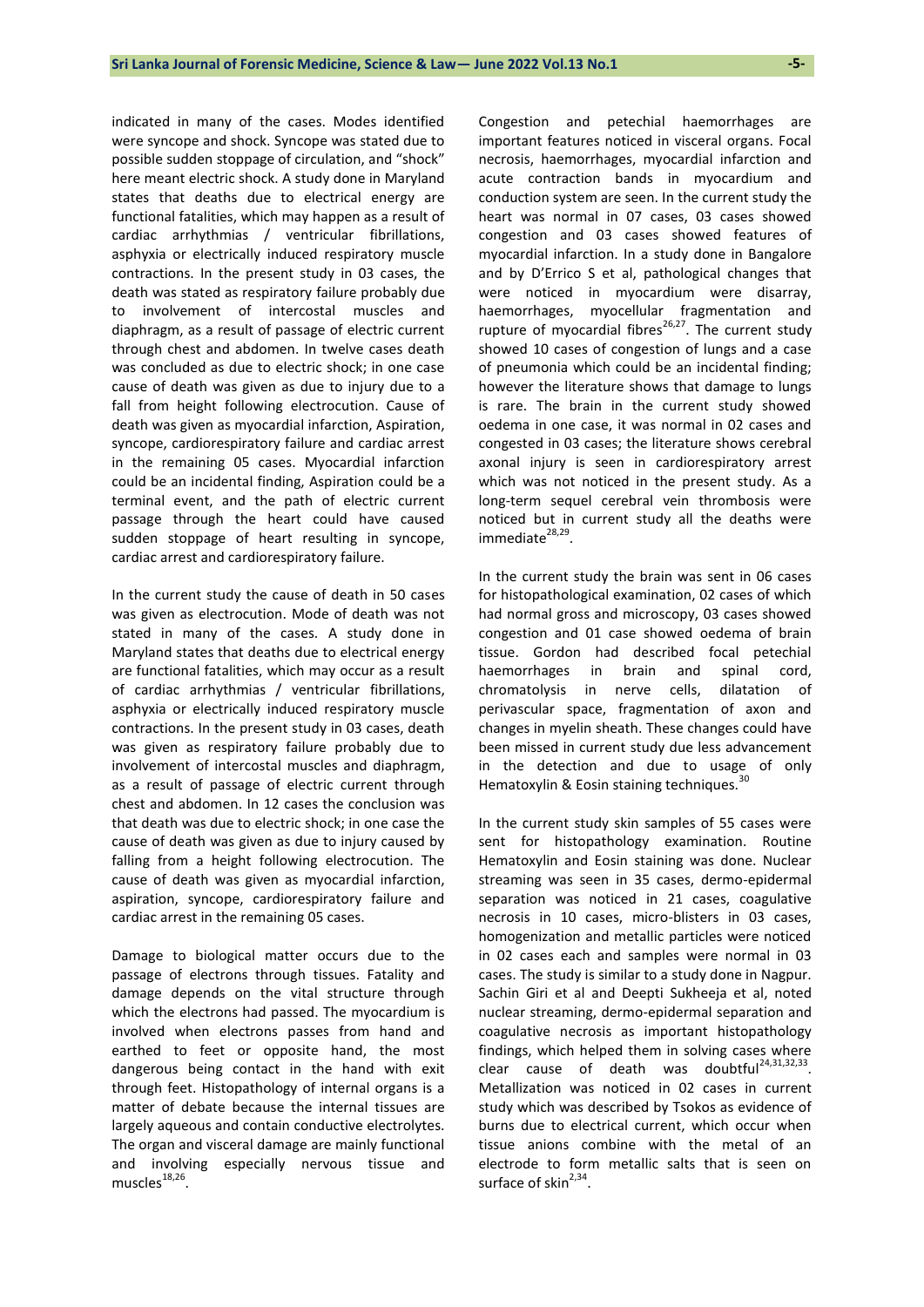indicated in many of the cases. Modes identified were syncope and shock. Syncope was stated due to possible sudden stoppage of circulation, and "shock" here meant electric shock. A study done in Maryland states that deaths due to electrical energy are functional fatalities, which may happen as a result of cardiac arrhythmias / ventricular fibrillations, asphyxia or electrically induced respiratory muscle contractions. In the present study in 03 cases, the death was stated as respiratory failure probably due to involvement of intercostal muscles and diaphragm, as a result of passage of electric current through chest and abdomen. In twelve cases death was concluded as due to electric shock; in one case cause of death was given as due to injury due to a fall from height following electrocution. Cause of death was given as myocardial infarction, Aspiration, syncope, cardiorespiratory failure and cardiac arrest in the remaining 05 cases. Myocardial infarction could be an incidental finding, Aspiration could be a terminal event, and the path of electric current passage through the heart could have caused sudden stoppage of heart resulting in syncope, cardiac arrest and cardiorespiratory failure.

In the current study the cause of death in 50 cases was given as electrocution. Mode of death was not stated in many of the cases. A study done in Maryland states that deaths due to electrical energy are functional fatalities, which may occur as a result of cardiac arrhythmias / ventricular fibrillations, asphyxia or electrically induced respiratory muscle contractions. In the present study in 03 cases, death was given as respiratory failure probably due to involvement of intercostal muscles and diaphragm, as a result of passage of electric current through chest and abdomen. In 12 cases the conclusion was that death was due to electric shock; in one case the cause of death was given as due to injury caused by falling from a height following electrocution. The cause of death was given as myocardial infarction, aspiration, syncope, cardiorespiratory failure and cardiac arrest in the remaining 05 cases.

Damage to biological matter occurs due to the passage of electrons through tissues. Fatality and damage depends on the vital structure through which the electrons had passed. The myocardium is involved when electrons passes from hand and earthed to feet or opposite hand, the most dangerous being contact in the hand with exit through feet. Histopathology of internal organs is a matter of debate because the internal tissues are largely aqueous and contain conductive electrolytes. The organ and visceral damage are mainly functional and involving especially nervous tissue and muscles<sup>18,26</sup>.

Congestion and petechial haemorrhages are important features noticed in visceral organs. Focal necrosis, haemorrhages, myocardial infarction and acute contraction bands in myocardium and conduction system are seen. In the current study the heart was normal in 07 cases, 03 cases showed congestion and 03 cases showed features of myocardial infarction. In a study done in Bangalore and by D'Errico S et al, pathological changes that were noticed in myocardium were disarray, haemorrhages, myocellular fragmentation and rupture of myocardial fibres $26,27$ . The current study showed 10 cases of congestion of lungs and a case of pneumonia which could be an incidental finding; however the literature shows that damage to lungs is rare. The brain in the current study showed oedema in one case, it was normal in 02 cases and congested in 03 cases; the literature shows cerebral axonal injury is seen in cardiorespiratory arrest which was not noticed in the present study. As a long-term sequel cerebral vein thrombosis were noticed but in current study all the deaths were immediate<sup>28,29</sup>.

In the current study the brain was sent in 06 cases for histopathological examination, 02 cases of which had normal gross and microscopy, 03 cases showed congestion and 01 case showed oedema of brain tissue. Gordon had described focal petechial haemorrhages in brain and spinal cord, chromatolysis in nerve cells, dilatation of perivascular space, fragmentation of axon and changes in myelin sheath. These changes could have been missed in current study due less advancement in the detection and due to usage of only Hematoxylin & Eosin staining techniques.<sup>30</sup>

In the current study skin samples of 55 cases were sent for histopathology examination. Routine Hematoxylin and Eosin staining was done. Nuclear streaming was seen in 35 cases, dermo-epidermal separation was noticed in 21 cases, coagulative necrosis in 10 cases, micro-blisters in 03 cases, homogenization and metallic particles were noticed in 02 cases each and samples were normal in 03 cases. The study is similar to a study done in Nagpur. Sachin Giri et al and Deepti Sukheeja et al, noted nuclear streaming, dermo-epidermal separation and coagulative necrosis as important histopathology findings, which helped them in solving cases where clear cause of death was doubtful<sup>24,31,32,33</sup>. Metallization was noticed in 02 cases in current study which was described by Tsokos as evidence of burns due to electrical current, which occur when tissue anions combine with the metal of an electrode to form metallic salts that is seen on surface of skin $^{2,34}$ .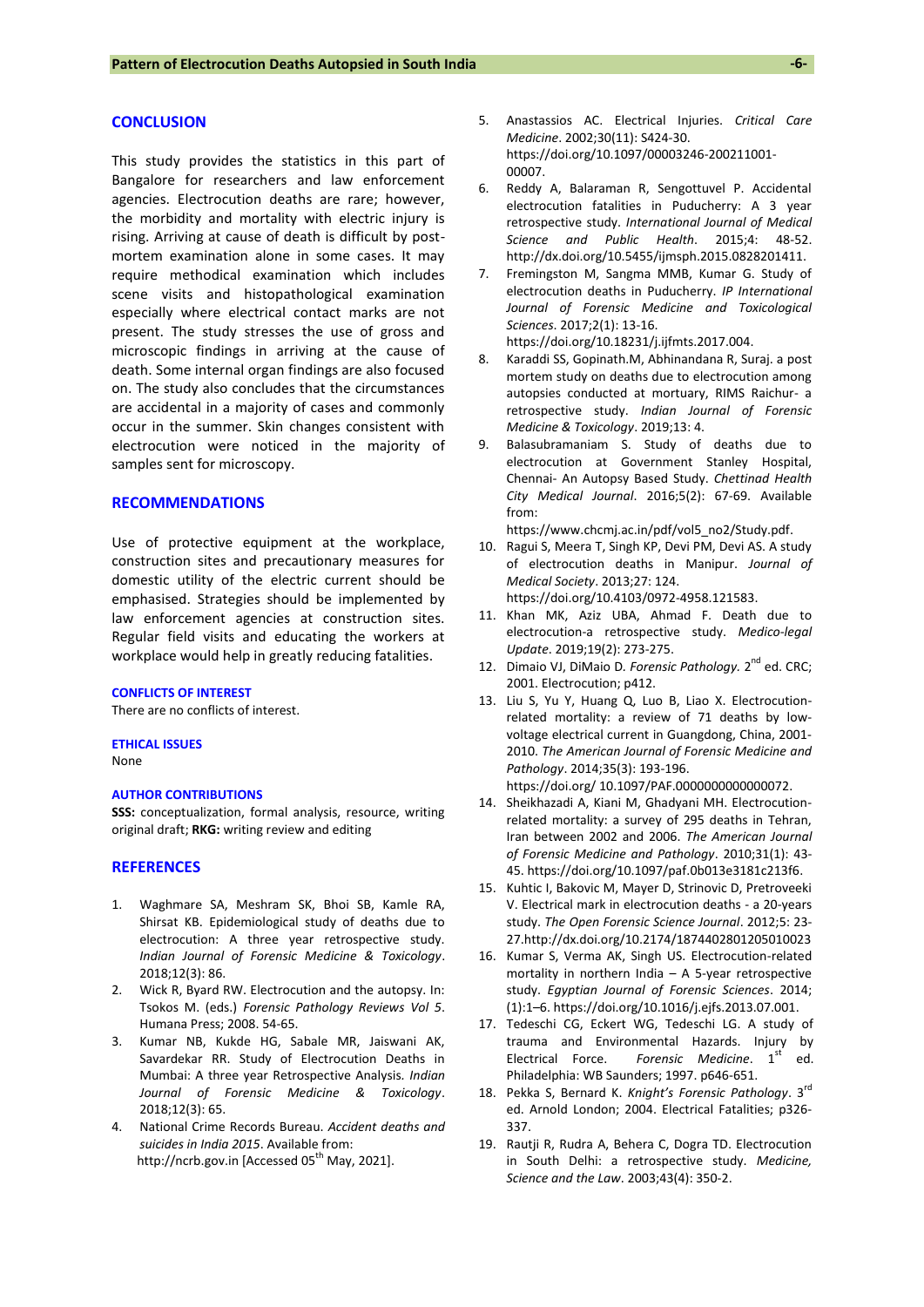#### **CONCLUSION**

This study provides the statistics in this part of Bangalore for researchers and law enforcement agencies. Electrocution deaths are rare; however, the morbidity and mortality with electric injury is rising. Arriving at cause of death is difficult by postmortem examination alone in some cases. It may require methodical examination which includes scene visits and histopathological examination especially where electrical contact marks are not present. The study stresses the use of gross and microscopic findings in arriving at the cause of death. Some internal organ findings are also focused on. The study also concludes that the circumstances are accidental in a majority of cases and commonly occur in the summer. Skin changes consistent with electrocution were noticed in the majority of samples sent for microscopy.

## **RECOMMENDATIONS**

Use of protective equipment at the workplace, construction sites and precautionary measures for domestic utility of the electric current should be emphasised. Strategies should be implemented by law enforcement agencies at construction sites. Regular field visits and educating the workers at workplace would help in greatly reducing fatalities.

#### **CONFLICTS OF INTEREST**

There are no conflicts of interest.

#### **ETHICAL ISSUES**

None

## **AUTHOR CONTRIBUTIONS**

**SSS:** conceptualization, formal analysis, resource, writing original draft; **RKG:** writing review and editing

#### **REFERENCES**

- 1. Waghmare SA, Meshram SK, Bhoi SB, Kamle RA, Shirsat KB. Epidemiological study of deaths due to electrocution: A three year retrospective study. *Indian Journal of Forensic Medicine & Toxicology*. 2018;12(3): 86.
- 2. Wick R, Byard RW. Electrocution and the autopsy. In: Tsokos M. (eds.) *Forensic Pathology Reviews Vol 5*. Humana Press; 2008. 54-65.
- 3. Kumar NB, Kukde HG, Sabale MR, Jaiswani AK, Savardekar RR. Study of Electrocution Deaths in Mumbai: A three year Retrospective Analysis*. Indian Journal of Forensic Medicine & Toxicology*. 2018;12(3): 65.
- 4. National Crime Records Bureau. *Accident deaths and suicides in India 2015*. Available from: [http://ncrb.gov.in](http://ncrb.gov.in/) [Accessed 05<sup>th</sup> May, 2021].
- 5. Anastassios AC. Electrical Injuries. *Critical Care Medicine*. 2002;30(11): S424-30. [https://doi.org/10.1097/00003246-200211001-](https://doi.org/10.1097/00003246-200211001-00007) [00007.](https://doi.org/10.1097/00003246-200211001-00007)
- 6. Reddy A, Balaraman R, Sengottuvel P. Accidental electrocution fatalities in Puducherry: A 3 year retrospective study. *International Journal of Medical Science and Public Health*. 2015;4: 48-52. [http://dx.doi.org/10.5455/ijmsph.2015.0828201411.](http://dx.doi.org/10.5455/ijmsph.2015.0828201411)
- 7. Fremingston M, Sangma MMB, Kumar G. Study of electrocution deaths in Puducherry. *IP International Journal of Forensic Medicine and Toxicological Sciences*. 2017;2(1): 13-16.

[https://doi.org/10.18231/j.ijfmts.2017.004.](https://doi.org/10.18231/j.ijfmts.2017.004)

- 8. Karaddi SS, Gopinath.M, Abhinandana R, Suraj. a post mortem study on deaths due to electrocution among autopsies conducted at mortuary, RIMS Raichur- a retrospective study. *Indian Journal of Forensic Medicine & Toxicology*. 2019;13: 4.
- 9. Balasubramaniam S. Study of deaths due to electrocution at Government Stanley Hospital, Chennai- An Autopsy Based Study. *Chettinad Health City Medical Journal*. 2016;5(2): 67-69. Available from:

[https://www.chcmj.ac.in/pdf/vol5\\_no2/Study.pdf.](https://www.chcmj.ac.in/pdf/vol5_no2/Study.pdf) 

10. Ragui S, Meera T, Singh KP, Devi PM, Devi AS. A study of electrocution deaths in Manipur. *Journal of Medical Society*. 2013;27: 124.

[https://doi.org/10.4103/0972-4958.121583.](https://doi.org/10.4103/0972-4958.121583)

- 11. Khan MK, Aziz UBA, Ahmad F. Death due to electrocution-a retrospective study. *Medico-legal Update*. 2019;19(2): 273-275.
- 12. Dimaio VJ, DiMaio D. Forensic Pathology. 2<sup>nd</sup> ed. CRC; 2001. Electrocution; p412.
- 13. Liu S, Yu Y, Huang Q, Luo B, Liao X. Electrocutionrelated mortality: a review of 71 deaths by lowvoltage electrical current in Guangdong, China, 2001- 2010. *The American Journal of Forensic Medicine and Pathology*. 2014;35(3): 193-196. [https://doi.org/ 10.1097/PAF.0000000000000072.](https://doi.org/%2010.1097/PAF.0000000000000072)
- 14. Sheikhazadi A, Kiani M, Ghadyani MH. Electrocutionrelated mortality: a survey of 295 deaths in Tehran, Iran between 2002 and 2006. *The American Journal of Forensic Medicine and Pathology*. 2010;31(1): 43- 45. [https://doi.org/10.1097/paf.0b013e3181c213f6.](https://doi.org/10.1097/paf.0b013e3181c213f6)
- 15. Kuhtic I, Bakovic M, Mayer D, Strinovic D, Pretroveeki V. Electrical mark in electrocution deaths - a 20-years study. *The Open Forensic Science Journal*. 2012;5: 23- 27[.http://dx.doi.org/10.2174/1874402801205010023](http://dx.doi.org/10.2174/1874402801205010023)
- 16. Kumar S, Verma AK, Singh US. Electrocution-related mortality in northern India – A 5-year retrospective study. *Egyptian Journal of Forensic Sciences*. 2014; (1):1–6. [https://doi.org/10.1016/j.ejfs.2013.07.001.](https://doi.org/10.1016/j.ejfs.2013.07.001)
- 17. Tedeschi CG, Eckert WG, Tedeschi LG. A study of trauma and Environmental Hazards. Injury by Electrical Force. Forensic Medicine. 1<sup>st</sup> ed. Philadelphia: WB Saunders; 1997. p646-651.
- 18. Pekka S, Bernard K. *Knight's Forensic Pathology*. 3rd ed. Arnold London; 2004. Electrical Fatalities; p326- 337.
- 19. Rautji R, Rudra A, Behera C, Dogra TD. Electrocution in South Delhi: a retrospective study. *Medicine, Science and the Law*. 2003;43(4): 350-2.